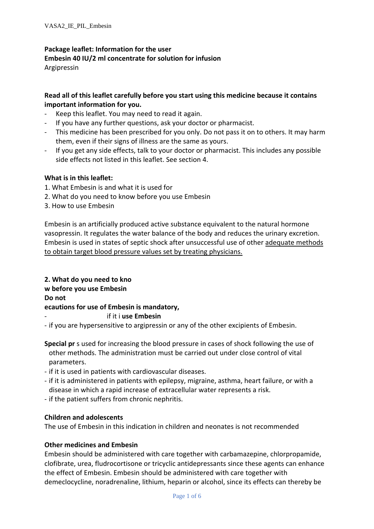### **Package leaflet: Information for the user Embesin 40 IU/2 ml concentrate for solution for infusion**

Argipressin

# **Read all of this leaflet carefully before you start using this medicine because it contains important information for you.**

- Keep this leaflet. You may need to read it again.
- If you have any further questions, ask your doctor or pharmacist.
- This medicine has been prescribed for you only. Do not pass it on to others. It may harm them, even if their signs of illness are the same as yours.
- If you get any side effects, talk to your doctor or pharmacist. This includes any possible side effects not listed in this leaflet. See section 4.

# **What is in this leaflet:**

- 1. What Embesin is and what it is used for
- 2. What do you need to know before you use Embesin
- 3. How to use Embesin

Embesin is an artificially produced active substance equivalent to the natural hormone vasopressin. It regulates the water balance of the body and reduces the urinary excretion. Embesin is used in states of septic shock after unsuccessful use of other adequate methods to obtain target blood pressure values set by treating physicians.

**2. What do you need to kno w before you use Embesin Do not ecautions for use of Embesin is mandatory,** - if it i **use Embesin**

- if you are hypersensitive to argipressin or any of the other excipients of Embesin.

- **Special pr** s used for increasing the blood pressure in cases of shock following the use of other methods. The administration must be carried out under close control of vital parameters.
- if it is used in patients with cardiovascular diseases.
- if it is administered in patients with epilepsy, migraine, asthma, heart failure, or with a disease in which a rapid increase of extracellular water represents a risk.
- if the patient suffers from chronic nephritis.

# **Children and adolescents**

The use of Embesin in this indication in children and neonates is not recommended

# **Other medicines and Embesin**

Embesin should be administered with care together with carbamazepine, chlorpropamide, clofibrate, urea, fludrocortisone or tricyclic antidepressants since these agents can enhance the effect of Embesin. Embesin should be administered with care together with demeclocycline, noradrenaline, lithium, heparin or alcohol, since its effects can thereby be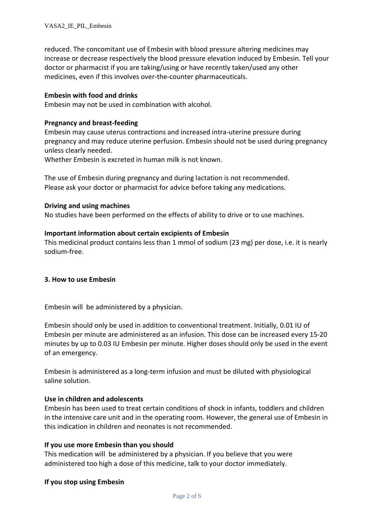reduced. The concomitant use of Embesin with blood pressure altering medicines may increase or decrease respectively the blood pressure elevation induced by Embesin. Tell your doctor or pharmacist if you are taking/using or have recently taken/used any other medicines, even if this involves over-the-counter pharmaceuticals.

#### **Embesin with food and drinks**

Embesin may not be used in combination with alcohol.

#### **Pregnancy and breast-feeding**

Embesin may cause uterus contractions and increased intra-uterine pressure during pregnancy and may reduce uterine perfusion. Embesin should not be used during pregnancy unless clearly needed.

Whether Embesin is excreted in human milk is not known.

The use of Embesin during pregnancy and during lactation is not recommended. Please ask your doctor or pharmacist for advice before taking any medications.

#### **Driving and using machines**

No studies have been performed on the effects of ability to drive or to use machines.

#### **Important information about certain excipients of Embesin**

This medicinal product contains less than 1 mmol of sodium (23 mg) per dose, i.e. it is nearly sodium-free.

#### **3. How to use Embesin**

Embesin will be administered by a physician.

Embesin should only be used in addition to conventional treatment. Initially, 0.01 IU of Embesin per minute are administered as an infusion. This dose can be increased every 15-20 minutes by up to 0.03 IU Embesin per minute. Higher doses should only be used in the event of an emergency.

Embesin is administered as a long-term infusion and must be diluted with physiological saline solution.

### **Use in children and adolescents**

Embesin has been used to treat certain conditions of shock in infants, toddlers and children in the intensive care unit and in the operating room. However, the general use of Embesin in this indication in children and neonates is not recommended.

#### **If you use more Embesin than you should**

This medication will be administered by a physician. If you believe that you were administered too high a dose of this medicine, talk to your doctor immediately.

### **If you stop using Embesin**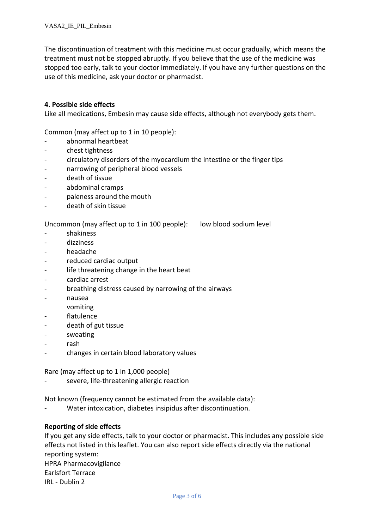The discontinuation of treatment with this medicine must occur gradually, which means the treatment must not be stopped abruptly. If you believe that the use of the medicine was stopped too early, talk to your doctor immediately. If you have any further questions on the use of this medicine, ask your doctor or pharmacist.

## **4. Possible side effects**

Like all medications, Embesin may cause side effects, although not everybody gets them.

Common (may affect up to 1 in 10 people):

- abnormal heartbeat
- chest tightness
- circulatory disorders of the myocardium the intestine or the finger tips
- narrowing of peripheral blood vessels
- death of tissue
- abdominal cramps
- paleness around the mouth
- death of skin tissue

Uncommon (may affect up to 1 in 100 people): low blood sodium level

- shakiness
- dizziness
- headache
- reduced cardiac output
- life threatening change in the heart beat
- cardiac arrest
- breathing distress caused by narrowing of the airways
- nausea
- vomiting
- flatulence
- death of gut tissue
- sweating
- rash
- changes in certain blood laboratory values

Rare (may affect up to 1 in 1,000 people)

severe, life-threatening allergic reaction

Not known (frequency cannot be estimated from the available data):

Water intoxication, diabetes insipidus after discontinuation.

### **Reporting of side effects**

If you get any side effects, talk to your doctor or pharmacist. This includes any possible side effects not listed in this leaflet. You can also report side effects directly via the national reporting system:

HPRA Pharmacovigilance Earlsfort Terrace IRL - Dublin 2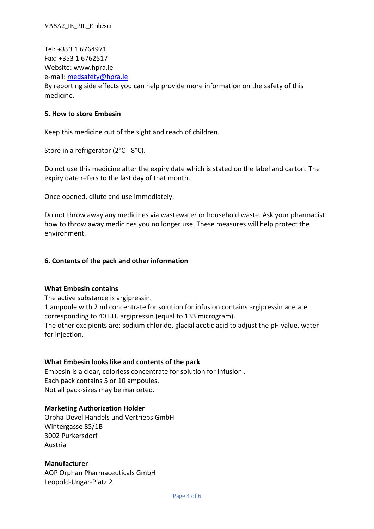Tel: +353 1 6764971 Fax: +353 1 6762517 Website: www.hpra.ie e-mail: [medsafety@hpra.ie](mailto:medsafety@hpra.ie) By reporting side effects you can help provide more information on the safety of this medicine.

### **5. How to store Embesin**

Keep this medicine out of the sight and reach of children.

Store in a refrigerator (2°C - 8°C).

Do not use this medicine after the expiry date which is stated on the label and carton. The expiry date refers to the last day of that month.

Once opened, dilute and use immediately.

Do not throw away any medicines via wastewater or household waste. Ask your pharmacist how to throw away medicines you no longer use. These measures will help protect the environment.

#### **6. Contents of the pack and other information**

#### **What Embesin contains**

The active substance is argipressin.

1 ampoule with 2 ml concentrate for solution for infusion contains argipressin acetate corresponding to 40 I.U. argipressin (equal to 133 microgram). The other excipients are: sodium chloride, glacial acetic acid to adjust the pH value, water for injection.

### **What Embesin looks like and contents of the pack**

Embesin is a clear, colorless concentrate for solution for infusion . Each pack contains 5 or 10 ampoules. Not all pack-sizes may be marketed.

### **Marketing Authorization Holder**

Orpha-Devel Handels und Vertriebs GmbH Wintergasse 85/1B 3002 Purkersdorf Austria

### **Manufacturer**

AOP Orphan Pharmaceuticals GmbH Leopold-Ungar-Platz 2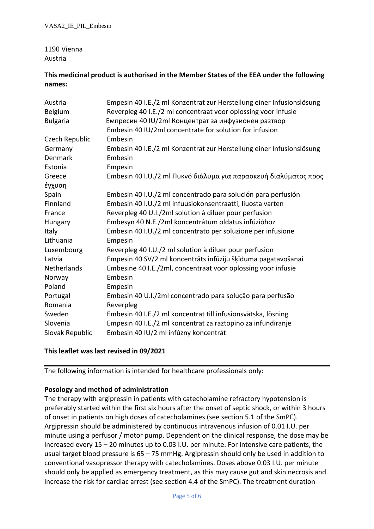# 1190 Vienna Austria

# **This medicinal product is authorised in the Member States of the EEA under the following names:**

| Austria         | Empesin 40 I.E./2 ml Konzentrat zur Herstellung einer Infusionslösung |
|-----------------|-----------------------------------------------------------------------|
| Belgium         | Reverpleg 40 I.E./2 ml concentraat voor oplossing voor infusie        |
| <b>Bulgaria</b> | Емпресин 40 IU/2ml Концентрат за инфузионен разтвор                   |
|                 | Embesin 40 IU/2ml concentrate for solution for infusion               |
| Czech Republic  | Embesin                                                               |
| Germany         | Embesin 40 I.E./2 ml Konzentrat zur Herstellung einer Infusionslösung |
| Denmark         | Embesin                                                               |
| Estonia         | Empesin                                                               |
| Greece          | Embesin 40 I.U./2 ml Πυκνό διάλυμα για παρασκευή διαλύματος προς      |
| έγχυση          |                                                                       |
| Spain           | Embesin 40 I.U./2 ml concentrado para solución para perfusión         |
| Finnland        | Embesin 40 I.U./2 ml infuusiokonsentraatti, liuosta varten            |
| France          | Reverpleg 40 U.I./2ml solution á diluer pour perfusion                |
| Hungary         | Embesyn 40 N.E./2ml koncentrátum oldatus infúzióhoz                   |
| Italy           | Embesin 40 I.U./2 ml concentrato per soluzione per infusione          |
| Lithuania       | Empesin                                                               |
| Luxembourg      | Reverpleg 40 I.U./2 ml solution à diluer pour perfusion               |
| Latvia          | Empesin 40 SV/2 ml koncentrāts infūziju šķīduma pagatavošanai         |
| Netherlands     | Embesine 40 I.E./2ml, concentraat voor oplossing voor infusie         |
| Norway          | Embesin                                                               |
| Poland          | Empesin                                                               |
| Portugal        | Embesin 40 U.I./2ml concentrado para solução para perfusão            |
| Romania         | Reverpleg                                                             |
| Sweden          | Embesin 40 I.E./2 ml koncentrat till infusionsvätska, lösning         |
| Slovenia        | Empesin 40 I.E./2 ml koncentrat za raztopino za infundiranje          |
| Slovak Republic | Embesin 40 IU/2 ml infúzny koncentrát                                 |

# **This leaflet was last revised in 09/2021**

The following information is intended for healthcare professionals only:

# **Posology and method of administration**

The therapy with argipressin in patients with catecholamine refractory hypotension is preferably started within the first six hours after the onset of septic shock, or within 3 hours of onset in patients on high doses of catecholamines (see section 5.1 of the SmPC). Argipressin should be administered by continuous intravenous infusion of 0.01 I.U. per minute using a perfusor / motor pump. Dependent on the clinical response, the dose may be increased every 15 – 20 minutes up to 0.03 I.U. per minute. For intensive care patients, the usual target blood pressure is 65 – 75 mmHg. Argipressin should only be used in addition to conventional vasopressor therapy with catecholamines. Doses above 0.03 I.U. per minute should only be applied as emergency treatment, as this may cause gut and skin necrosis and increase the risk for cardiac arrest (see section 4.4 of the SmPC). The treatment duration